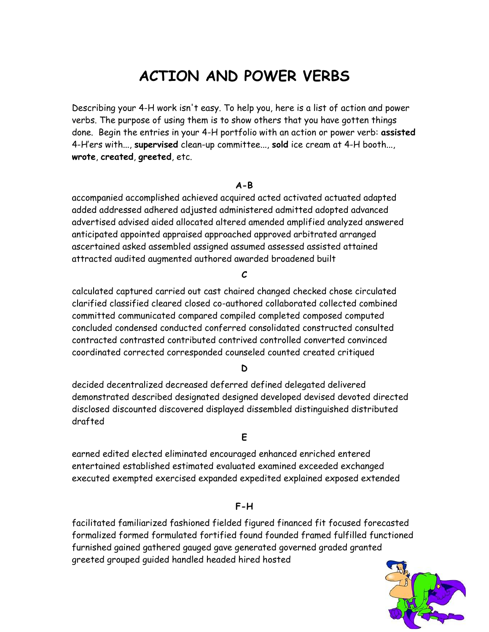# **ACTION AND POWER VERBS**

Describing your 4-H work isn't easy. To help you, here is a list of action and power verbs. The purpose of using them is to show others that you have gotten things done. Begin the entries in your 4-H portfolio with an action or power verb: **assisted** 4-H'ers with..., **supervised** clean-up committee..., **sold** ice cream at 4-H booth..., **wrote**, **created**, **greeted**, etc.

### **A-B**

accompanied accomplished achieved acquired acted activated actuated adapted added addressed adhered adjusted administered admitted adopted advanced advertised advised aided allocated altered amended amplified analyzed answered anticipated appointed appraised approached approved arbitrated arranged ascertained asked assembled assigned assumed assessed assisted attained attracted audited augmented authored awarded broadened built

#### **C**

calculated captured carried out cast chaired changed checked chose circulated clarified classified cleared closed co-authored collaborated collected combined committed communicated compared compiled completed composed computed concluded condensed conducted conferred consolidated constructed consulted contracted contrasted contributed contrived controlled converted convinced coordinated corrected corresponded counseled counted created critiqued

## **D**

decided decentralized decreased deferred defined delegated delivered demonstrated described designated designed developed devised devoted directed disclosed discounted discovered displayed dissembled distinguished distributed drafted

#### **E**

earned edited elected eliminated encouraged enhanced enriched entered entertained established estimated evaluated examined exceeded exchanged executed exempted exercised expanded expedited explained exposed extended

## **F-H**

facilitated familiarized fashioned fielded figured financed fit focused forecasted formalized formed formulated fortified found founded framed fulfilled functioned furnished gained gathered gauged gave generated governed graded granted greeted grouped guided handled headed hired hosted